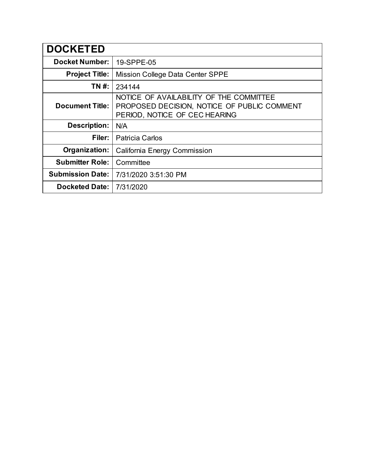| <b>DOCKETED</b>         |                                                                                                                         |
|-------------------------|-------------------------------------------------------------------------------------------------------------------------|
| <b>Docket Number:</b>   | 19-SPPE-05                                                                                                              |
| <b>Project Title:</b>   | Mission College Data Center SPPE                                                                                        |
| TN #:                   | 234144                                                                                                                  |
| <b>Document Title:</b>  | NOTICE OF AVAILABILITY OF THE COMMITTEE<br>PROPOSED DECISION, NOTICE OF PUBLIC COMMENT<br>PERIOD, NOTICE OF CEC HEARING |
| <b>Description:</b>     | N/A                                                                                                                     |
| Filer:                  | <b>Patricia Carlos</b>                                                                                                  |
| Organization:           | California Energy Commission                                                                                            |
| <b>Submitter Role:</b>  | Committee                                                                                                               |
| <b>Submission Date:</b> | 7/31/2020 3:51:30 PM                                                                                                    |
| <b>Docketed Date:</b>   | 7/31/2020                                                                                                               |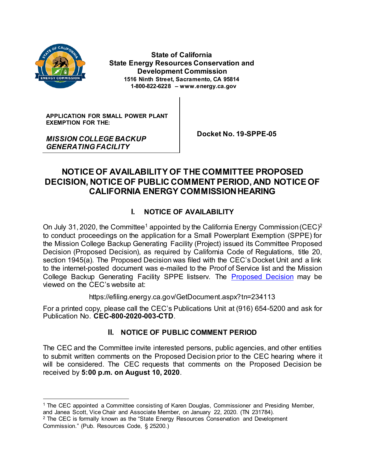

 **State of California State Energy Resources Conservation and Development Commission 1516 Ninth Street, Sacramento, CA 95814 1-800-822-6228 – www.energy.ca.gov**

**APPLICATION FOR SMALL POWER PLANT EXEMPTION FOR THE:**

*MISSION COLLEGE BACKUP GENERATING FACILITY*

 **Docket No. 19-SPPE-05**

# **NOTICE OF AVAILABILITY OF THE COMMITTEE PROPOSED DECISION, NOTICE OF PUBLIC COMMENT PERIOD, AND NOTICE OF CALIFORNIA ENERGY COMMISSION HEARING**

## **I. NOTICE OF AVAILABILITY**

On July 31, 2020, the Committee<sup>1</sup> appointed by the California Energy Commission (CEC)<sup>2</sup> to conduct proceedings on the application for a Small Powerplant Exemption (SPPE) for the Mission College Backup Generating Facility (Project) issued its Committee Proposed Decision (Proposed Decision), as required by California Code of Regulations, title 20, section 1945(a). The Proposed Decision was filed with the CEC's Docket Unit and a link to the internet-posted document was e-mailed to the Proof of Service list and the Mission College Backup Generating Facility SPPE listserv. The [Proposed Decision](https://efiling.energy.ca.gov/GetDocument.aspx?tn=234113) may be viewed on the CEC's website at:

https://efiling.energy.ca.gov/GetDocument.aspx?tn=234113

For a printed copy, please call the CEC's Publications Unit at (916) 654-5200 and ask for Publication No. **CEC-800-2020-003-CTD**.

## **II. NOTICE OF PUBLIC COMMENT PERIOD**

The CEC and the Committee invite interested persons, public agencies, and other entities to submit written comments on the Proposed Decision prior to the CEC hearing where it will be considered. The CEC requests that comments on the Proposed Decision be received by **5:00 p.m. on August 10, 2020**.

<sup>1</sup> The CEC appointed a Committee consisting of Karen Douglas, Commissioner and Presiding Member, and Janea Scott, Vice Chair and Associate Member, on January 22, 2020. (TN 231784).

<sup>&</sup>lt;sup>2</sup> The CEC is formally known as the "State Energy Resources Conservation and Development Commission." (Pub. Resources Code, § 25200.)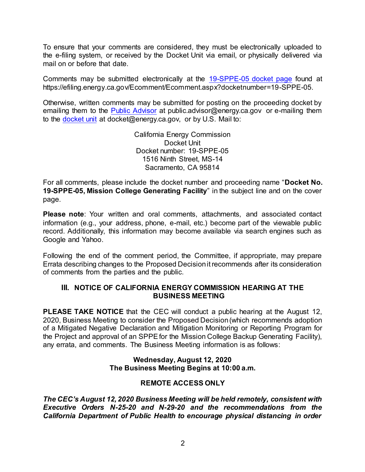To ensure that your comments are considered, they must be electronically uploaded to the e-filing system, or received by the Docket Unit via email, or physically delivered via mail on or before that date.

Comments may be submitted electronically at the [19-SPPE-05 docket page](https://efiling.energy.ca.gov/Ecomment/Ecomment.aspx?docketnumber=19-SPPE-05) found at https://efiling.energy.ca.gov/Ecomment/Ecomment.aspx?docketnumber=19-SPPE-05.

Otherwise, written comments may be submitted for posting on the proceeding docket by emailing them to the [Public Advisor](mailto:public.advisor@energy.ca.gov) at public advisor@energy.ca.gov or e-mailing them to the [docket unit](mailto:docket@energy.ca.gov) at docket@energy.ca.gov, or by U.S. Mail to:

> California Energy Commission Docket Unit Docket number: 19-SPPE-05 1516 Ninth Street, MS-14 Sacramento, CA 95814

For all comments, please include the docket number and proceeding name "**Docket No. 19-SPPE-05, Mission College Generating Facility**" in the subject line and on the cover page.

**Please note**: Your written and oral comments, attachments, and associated contact information (e.g., your address, phone, e-mail, etc.) become part of the viewable public record. Additionally, this information may become available via search engines such as Google and Yahoo.

Following the end of the comment period, the Committee, if appropriate, may prepare Errata describing changes to the Proposed Decision it recommends after its consideration of comments from the parties and the public.

#### **III. NOTICE OF CALIFORNIA ENERGY COMMISSION HEARING AT THE BUSINESS MEETING**

**PLEASE TAKE NOTICE** that the CEC will conduct a public hearing at the August 12, 2020, Business Meeting to consider the Proposed Decision (which recommends adoption of a Mitigated Negative Declaration and Mitigation Monitoring or Reporting Program for the Project and approval of an SPPE for the Mission College Backup Generating Facility), any errata, and comments. The Business Meeting information is as follows:

#### **Wednesday, August 12, 2020 The Business Meeting Begins at 10:00 a.m.**

## **REMOTE ACCESS ONLY**

*The CEC's August 12, 2020 Business Meeting will be held remotely, consistent with Executive Orders N-25-20 and N-29-20 and the recommendations from the California Department of Public Health to encourage physical distancing in order*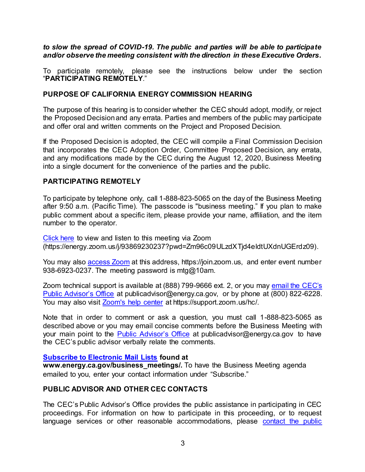#### *to slow the spread of COVID-19. The public and parties will be able to participate and/or observe the meeting consistent with the direction in these Executive Orders.*

To participate remotely, please see the instructions below under the section "**PARTICIPATING REMOTELY**."

#### **PURPOSE OF CALIFORNIA ENERGY COMMISSION HEARING**

The purpose of this hearing is to consider whether the CEC should adopt, modify, or reject the Proposed Decision and any errata. Parties and members of the public may participate and offer oral and written comments on the Project and Proposed Decision.

If the Proposed Decision is adopted, the CEC will compile a Final Commission Decision that incorporates the CEC Adoption Order, Committee Proposed Decision, any errata, and any modifications made by the CEC during the August 12, 2020, Business Meeting into a single document for the convenience of the parties and the public.

#### **PARTICIPATING REMOTELY**

To participate by telephone only, call 1-888-823-5065 on the day of the Business Meeting after 9:50 a.m. (Pacific Time). The passcode is "business meeting." If you plan to make public comment about a specific item, please provide your name, affiliation, and the item number to the operator.

[Click here](https://energy.zoom.us/j/93869230237?pwd=Zm96c09ULzdXTjd4eldtUXdnUGErdz09) to view and listen to this meeting via Zoom (https://energy.zoom.us/j/93869230237?pwd=Zm96c09ULzdXTjd4eldtUXdnUGErdz09).

You may also **access Zoom** at this address, https://join.zoom.us, and enter event number 938-6923-0237. The meeting password is mtg@10am.

Zoom technical support is available at (888) 799-9666 ext. 2, or you may [email the CEC's](mailto:publicadvisor@energy.ca.gov)  [Public Advisor's Office](mailto:publicadvisor@energy.ca.gov) at publicadvisor@energy.ca.gov, or by phone at (800) 822-6228. You may also visit [Zoom's help center](https://support.zoom.us/hc/) at https://support.zoom.us/hc/.

Note that in order to comment or ask a question, you must call 1-888-823-5065 as described above or you may email concise comments before the Business Meeting with your main point to the [Public Advisor's O](mailto:publicadvisor@energy.ca.gov)ffice at publicadvisor@energy.ca.gov to have the CEC's public advisor verbally relate the comments.

#### **[Subscribe to Electronic Mail Lists](http://www.energy.ca.gov/business_meetings) found at**

**www.energy.ca.gov/business\_meetings/.** To have the Business Meeting agenda emailed to you, enter your contact information under "Subscribe."

#### **PUBLIC ADVISOR AND OTHER CEC CONTACTS**

The CEC's Public Advisor's Office provides the public assistance in participating in CEC proceedings. For information on how to participate in this proceeding, or to request language services or other reasonable accommodations, please [contact the public](mailto:publicadvisor@energy.ca.gov)